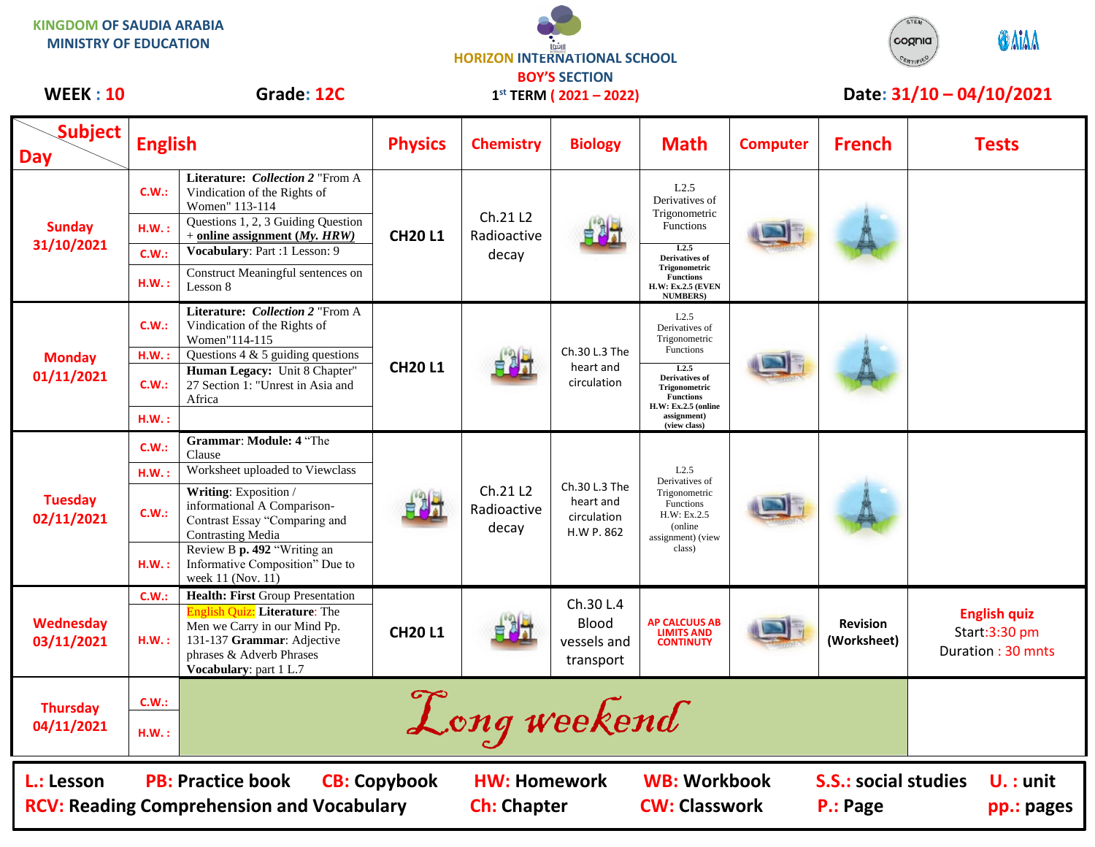**KINGDOM OF SAUDIA ARABIA MINISTRY OF EDUCATION**

ارافوا **HORIZON INTERNATIONAL SCHOOL BOY'S SECTION**



## WEEK : 10 Grade: 12C 1<sup>st</sup> TERM (2021 – 2022) Date: 31/10 – 04/10/2021

| <b>WEEK: 10</b>                                                                                                                                                                                                                                                         |                                     | Grade: 12C                                                                                                                                                                                                                                                                       | $1^{st}$ TERM ( $2021 - 2022$ ) |                                  |                                                         | Date: 31/10 - 04/10/2021                                                                                                                                                   |                 |                                |                                                           |
|-------------------------------------------------------------------------------------------------------------------------------------------------------------------------------------------------------------------------------------------------------------------------|-------------------------------------|----------------------------------------------------------------------------------------------------------------------------------------------------------------------------------------------------------------------------------------------------------------------------------|---------------------------------|----------------------------------|---------------------------------------------------------|----------------------------------------------------------------------------------------------------------------------------------------------------------------------------|-----------------|--------------------------------|-----------------------------------------------------------|
| <b>Subject</b><br><b>Day</b>                                                                                                                                                                                                                                            | <b>English</b>                      |                                                                                                                                                                                                                                                                                  | <b>Physics</b>                  | <b>Chemistry</b>                 | <b>Biology</b>                                          | <b>Math</b>                                                                                                                                                                | <b>Computer</b> | <b>French</b>                  | <b>Tests</b>                                              |
| <b>Sunday</b><br>31/10/2021                                                                                                                                                                                                                                             | C.W.:<br>H.W.:<br>C.W.:<br>H.W.:    | Literature: Collection 2 "From A<br>Vindication of the Rights of<br>Women" 113-114<br>Questions 1, 2, 3 Guiding Question<br>$+$ online assignment ( <i>My</i> , <i>HRW</i> )<br>Vocabulary: Part :1 Lesson: 9<br>Construct Meaningful sentences on<br>Lesson 8                   | <b>CH20L1</b>                   | Ch.21 L2<br>Radioactive<br>decay |                                                         | L2.5<br>Derivatives of<br>Trigonometric<br><b>Functions</b><br>L2.5<br>Derivatives of<br>Trigonometric<br><b>Functions</b><br><b>H.W: Ex.2.5 (EVEN</b><br><b>NUMBERS</b> ) |                 |                                |                                                           |
| <b>Monday</b><br>01/11/2021                                                                                                                                                                                                                                             | C.W.:<br>$H.W.$ :<br>C.W.:<br>H.W.: | Literature: Collection 2 "From A<br>Vindication of the Rights of<br>Women"114-115<br>Questions $4 \& 5$ guiding questions<br>Human Legacy: Unit 8 Chapter"<br>27 Section 1: "Unrest in Asia and<br>Africa                                                                        | <b>CH20L1</b>                   |                                  | Ch.30 L.3 The<br>heart and<br>circulation               | L2.5<br>Derivatives of<br>Trigonometric<br>Functions<br>L2.5<br>Derivatives of<br>Trigonometric<br><b>Functions</b><br>H.W: Ex.2.5 (online<br>assignment)<br>(view class)  |                 |                                |                                                           |
| <b>Tuesday</b><br>02/11/2021                                                                                                                                                                                                                                            | C.W.:<br>$H.W.$ :<br>C.W.:<br>H.W.: | Grammar: Module: 4 "The<br>Clause<br>Worksheet uploaded to Viewclass<br>Writing: Exposition /<br>informational A Comparison-<br>Contrast Essay "Comparing and<br><b>Contrasting Media</b><br>Review B p. 492 "Writing an<br>Informative Composition" Due to<br>week 11 (Nov. 11) |                                 | Ch.21 L2<br>Radioactive<br>decay | Ch.30 L.3 The<br>heart and<br>circulation<br>H.W P. 862 | L2.5<br>Derivatives of<br>Trigonometric<br>Functions<br>H.W: Ex.2.5<br>(online)<br>assignment) (view<br>class)                                                             |                 |                                |                                                           |
| <b>Wednesday</b><br>03/11/2021                                                                                                                                                                                                                                          | C.W.:<br>H.W.:                      | Health: First Group Presentation<br><b>English Quiz: Literature:</b> The<br>Men we Carry in our Mind Pp.<br>131-137 Grammar: Adjective<br>phrases & Adverb Phrases<br>Vocabulary: part 1 L.7                                                                                     | <b>CH20L1</b>                   |                                  | Ch.30 L.4<br>Blood<br>vessels and<br>transport          | <b>AP CALCUUS AB</b><br><b>LIMITS AND</b><br><b>CONTINUTY</b>                                                                                                              |                 | <b>Revision</b><br>(Worksheet) | <b>English quiz</b><br>Start:3:30 pm<br>Duration: 30 mnts |
| <b>Thursday</b><br>04/11/2021                                                                                                                                                                                                                                           | C.W.:<br>H.W.:                      |                                                                                                                                                                                                                                                                                  | $\sigma$                        | Long weekend                     |                                                         |                                                                                                                                                                            |                 |                                |                                                           |
| <b>WB: Workbook</b><br><b>PB: Practice book</b><br><b>CB: Copybook</b><br><b>HW: Homework</b><br><b>S.S.: social studies</b><br>L.: Lesson<br>$U.$ : unit<br><b>RCV: Reading Comprehension and Vocabulary</b><br><b>Ch: Chapter</b><br><b>CW: Classwork</b><br>P.: Page |                                     |                                                                                                                                                                                                                                                                                  |                                 |                                  |                                                         |                                                                                                                                                                            |                 | pp.: pages                     |                                                           |